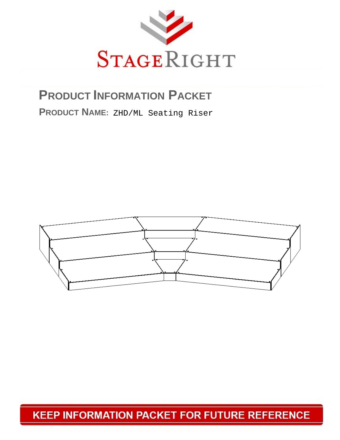

# **PRODUCT INFORMATION PACKET**

PRODUCT NAME: ZHD/ML Seating Riser



# **KEEP INFORMATION PACKET FOR FUTURE REFERENCE**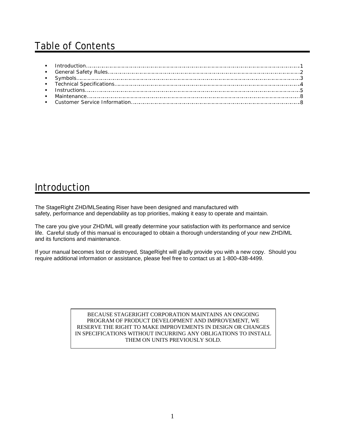# Table of Contents

### **Introduction**

The StageRight ZHD/MLSeating Riser have been designed and manufactured with safety, performance and dependability as top priorities, making it easy to operate and maintain.

The care you give your ZHD/ML will greatly determine your satisfaction with its performance and service life. Careful study of this manual is encouraged to obtain a thorough understanding of your new ZHD/ML and its functions and maintenance.

If your manual becomes lost or destroyed, StageRight will gladly provide you with a new copy. Should you require additional information or assistance, please feel free to contact us at 1-800-438-4499.

> BECAUSE STAGERIGHT CORPORATION MAINTAINS AN ONGOING PROGRAM OF PRODUCT DEVELOPMENT AND IMPROVEMENT, WE RESERVE THE RIGHT TO MAKE IMPROVEMENTS IN DESIGN OR CHANGES IN SPECIFICATIONS WITHOUT INCURRING ANY OBLIGATIONS TO INSTALL THEM ON UNITS PREVIOUSLY SOLD.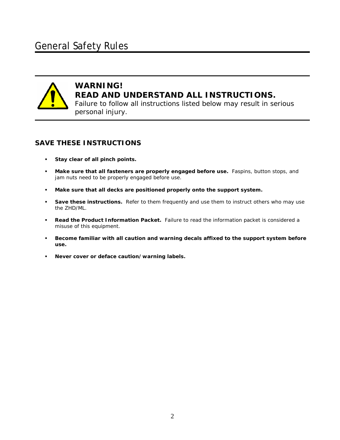

I

### **WARNING! READ AND UNDERSTAND ALL INSTRUCTIONS.**

Failure to follow all instructions listed below may result in serious personal injury.

#### **SAVE THESE INSTRUCTIONS**

- **Stay clear of all pinch points.**
- **Make sure that all fasteners are properly engaged before use.** Faspins, button stops, and jam nuts need to be properly engaged before use.
- **Make sure that all decks are positioned properly onto the support system.**
- **Save these instructions.** Refer to them frequently and use them to instruct others who may use the ZHD/ML.
- **Read the Product Information Packet.** Failure to read the information packet is considered a misuse of this equipment.
- **Become familiar with all caution and warning decals affixed to the support system before use.**
- **Never cover or deface caution/warning labels.**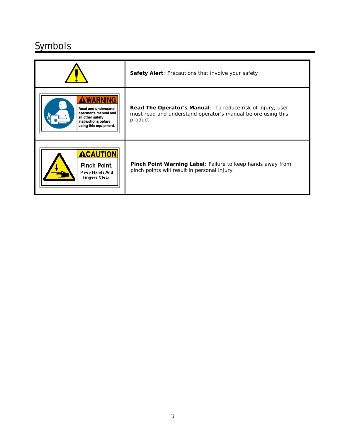# **Symbols**

|                                                                                                                                     | <b>Safety Alert: Precautions that involve your safety</b>                                                                             |
|-------------------------------------------------------------------------------------------------------------------------------------|---------------------------------------------------------------------------------------------------------------------------------------|
| <b>AWARNING</b><br>Read and understand<br>operator's manual and<br>all other safety<br>instructions before<br>using this equipment. | Read The Operator's Manual: To reduce risk of injury, user<br>must read and understand operator's manual before using this<br>product |
| <b>ACAUTION</b><br>Pinch Point.<br>Keep Hands And<br><b>Fingers Clear</b>                                                           | <b>Pinch Point Warning Label:</b> Failure to keep hands away from<br>pinch points will result in personal injury                      |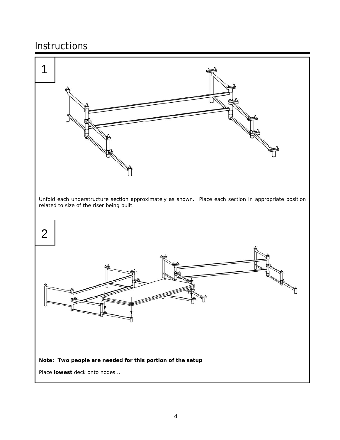## Instructions

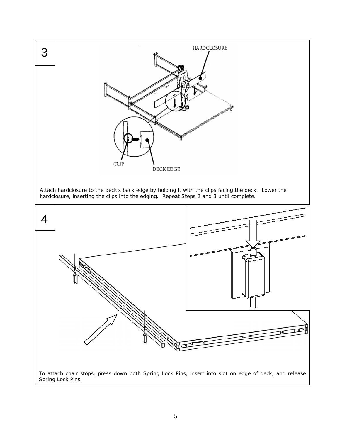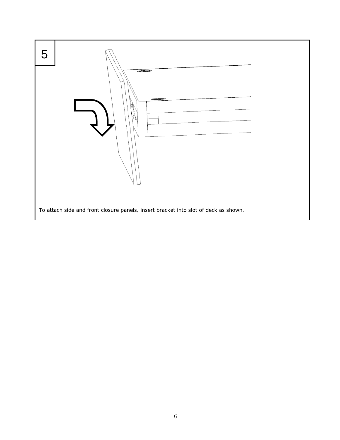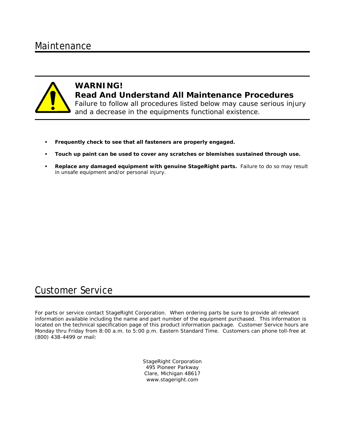### Maintenance



#### **WARNING! Read And Understand All Maintenance Procedures**  Failure to follow all procedures listed below may cause serious injury and a decrease in the equipments functional existence.

- **Frequently check to see that all fasteners are properly engaged.**
- **Touch up paint can be used to cover any scratches or blemishes sustained through use.**
- **Replace any damaged equipment with genuine StageRight parts.** Failure to do so may result in unsafe equipment and/or personal injury.

### Customer Service

For parts or service contact StageRight Corporation. When ordering parts be sure to provide all relevant information available including the name and part number of the equipment purchased. This information is located on the technical specification page of this product information package. Customer Service hours are Monday thru Friday from 8:00 a.m. to 5:00 p.m. Eastern Standard Time. Customers can phone toll-free at (800) 438-4499 or mail:

> StageRight Corporation 495 Pioneer Parkway Clare, Michigan 48617 www.stageright.com